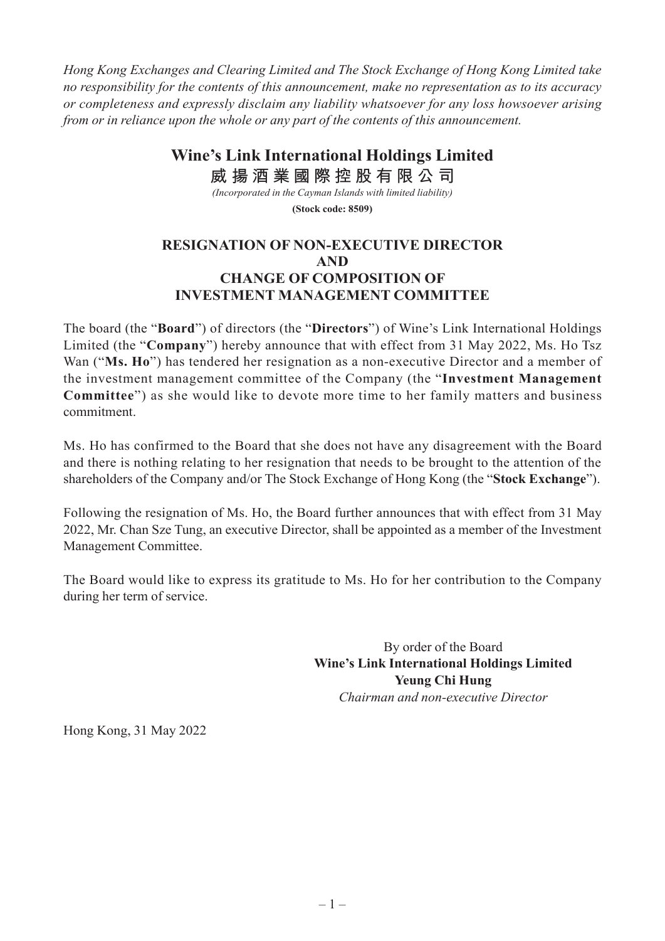*Hong Kong Exchanges and Clearing Limited and The Stock Exchange of Hong Kong Limited take no responsibility for the contents of this announcement, make no representation as to its accuracy or completeness and expressly disclaim any liability whatsoever for any loss howsoever arising from or in reliance upon the whole or any part of the contents of this announcement.*

> **Wine's Link International Holdings Limited 威 揚 酒 業 國 際 控 股 有 限 公 司**

*(Incorporated in the Cayman Islands with limited liability)*

**(Stock code: 8509)**

## **RESIGNATION OF NON-EXECUTIVE DIRECTOR AND CHANGE OF COMPOSITION OF INVESTMENT MANAGEMENT COMMITTEE**

The board (the "**Board**") of directors (the "**Directors**") of Wine's Link International Holdings Limited (the "**Company**") hereby announce that with effect from 31 May 2022, Ms. Ho Tsz Wan ("**Ms. Ho**") has tendered her resignation as a non-executive Director and a member of the investment management committee of the Company (the "**Investment Management Committee**") as she would like to devote more time to her family matters and business commitment.

Ms. Ho has confirmed to the Board that she does not have any disagreement with the Board and there is nothing relating to her resignation that needs to be brought to the attention of the shareholders of the Company and/or The Stock Exchange of Hong Kong (the "**Stock Exchange**").

Following the resignation of Ms. Ho, the Board further announces that with effect from 31 May 2022, Mr. Chan Sze Tung, an executive Director, shall be appointed as a member of the Investment Management Committee.

The Board would like to express its gratitude to Ms. Ho for her contribution to the Company during her term of service.

> By order of the Board **Wine's Link International Holdings Limited Yeung Chi Hung** *Chairman and non-executive Director*

Hong Kong, 31 May 2022